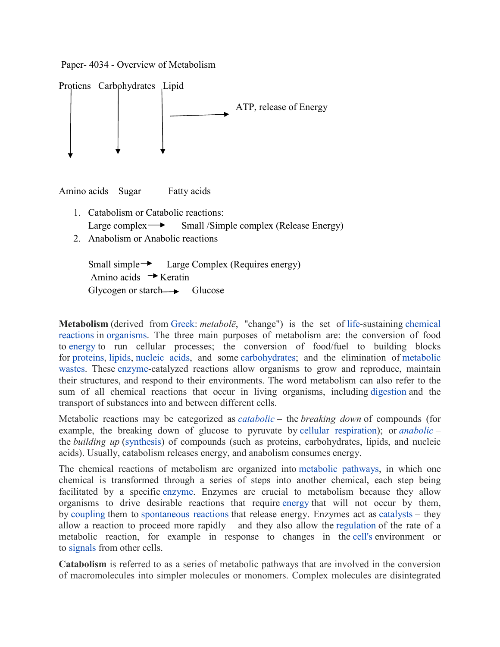



Amino acids Sugar Fatty acids

- 1. Catabolism or Catabolic reactions: Large complex  $\rightarrow$  Small /Simple complex (Release Energy)
- 2. Anabolism or Anabolic reactions

```
Small simple \rightarrow Large Complex (Requires energy)
Amino acids \rightarrow Keratin
Glycogen or starch \longrightarrow Glucose
```
**Metabolism** (derived from Greek: *metabolē*, "change") is the set of life-sustaining chemical reactions in organisms. The three main purposes of metabolism are: the conversion of food to energy to run cellular processes; the conversion of food/fuel to building blocks for proteins, lipids, nucleic acids, and some carbohydrates; and the elimination of metabolic wastes. These enzyme-catalyzed reactions allow organisms to grow and reproduce, maintain their structures, and respond to their environments. The word metabolism can also refer to the sum of all chemical reactions that occur in living organisms, including digestion and the transport of substances into and between different cells.

Metabolic reactions may be categorized as *catabolic* – the *breaking down* of compounds (for example, the breaking down of glucose to pyruvate by cellular respiration); or *anabolic* – the *building up* (synthesis) of compounds (such as proteins, carbohydrates, lipids, and nucleic acids). Usually, catabolism releases energy, and anabolism consumes energy.

The chemical reactions of metabolism are organized into metabolic pathways, in which one chemical is transformed through a series of steps into another chemical, each step being facilitated by a specific enzyme. Enzymes are crucial to metabolism because they allow organisms to drive desirable reactions that require energy that will not occur by them, by coupling them to spontaneous reactions that release energy. Enzymes act as catalysts – they allow a reaction to proceed more rapidly – and they also allow the regulation of the rate of a metabolic reaction, for example in response to changes in the cell's environment or to signals from other cells.

**Catabolism** is referred to as a series of metabolic pathways that are involved in the conversion of macromolecules into simpler molecules or monomers. Complex molecules are disintegrated